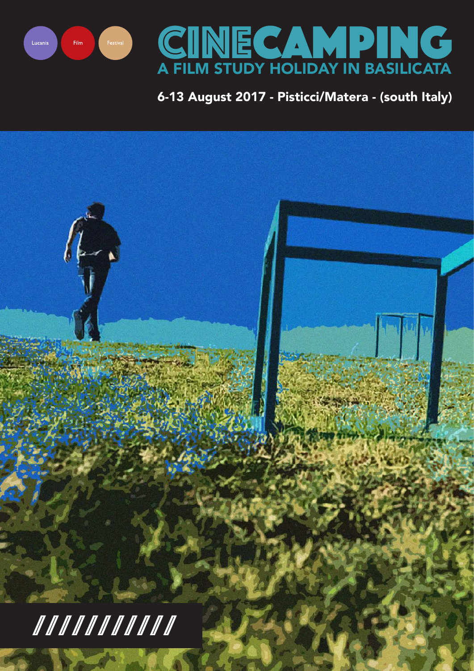



# 6-13 August 2017 - Pisticci/Matera - (south Italy)